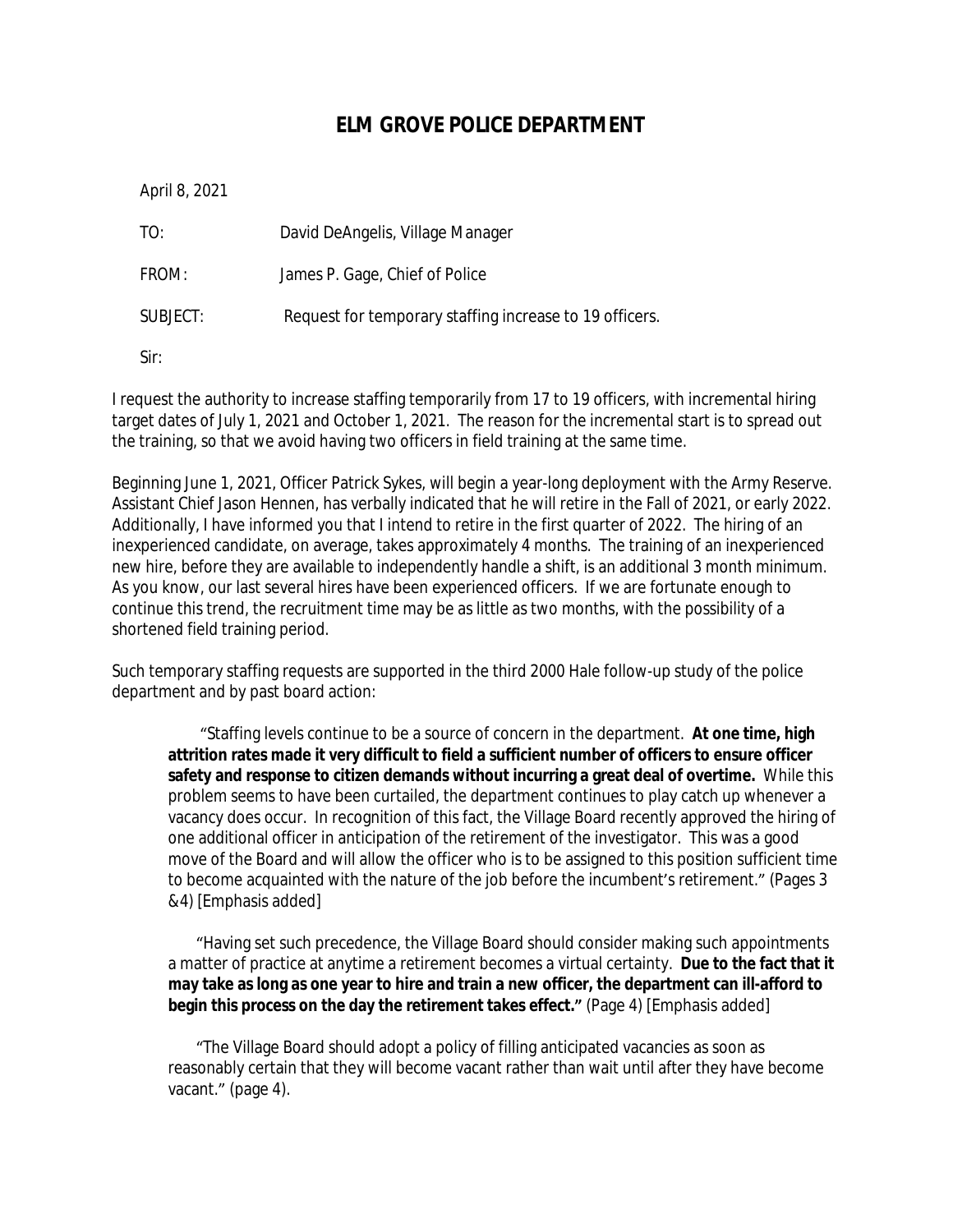## **ELM GROVE POLICE DEPARTMENT**

April 8, 2021

TO: David DeAngelis, Village Manager FROM: James P. Gage, Chief of Police SUBJECT: Request for temporary staffing increase to 19 officers.

Sir:

I request the authority to increase staffing temporarily from 17 to 19 officers, with incremental hiring target dates of July 1, 2021 and October 1, 2021. The reason for the incremental start is to spread out the training, so that we avoid having two officers in field training at the same time.

Beginning June 1, 2021, Officer Patrick Sykes, will begin a year-long deployment with the Army Reserve. Assistant Chief Jason Hennen, has verbally indicated that he will retire in the Fall of 2021, or early 2022. Additionally, I have informed you that I intend to retire in the first quarter of 2022. The hiring of an inexperienced candidate, on average, takes approximately 4 months. The training of an inexperienced new hire, before they are available to independently handle a shift, is an additional 3 month minimum. As you know, our last several hires have been experienced officers. If we are fortunate enough to continue this trend, the recruitment time may be as little as two months, with the possibility of a shortened field training period.

Such temporary staffing requests are supported in the third 2000 Hale follow-up study of the police department and by past board action:

"Staffing levels continue to be a source of concern in the department. **At one time, high attrition rates made it very difficult to field a sufficient number of officers to ensure officer safety and response to citizen demands without incurring a great deal of overtime.** While this problem seems to have been curtailed, the department continues to play catch up whenever a vacancy does occur. In recognition of this fact, the Village Board recently approved the hiring of one additional officer in anticipation of the retirement of the investigator. This was a good move of the Board and will allow the officer who is to be assigned to this position sufficient time to become acquainted with the nature of the job before the incumbent's retirement." (Pages 3 &4) [Emphasis added]

"Having set such precedence, the Village Board should consider making such appointments a matter of practice at anytime a retirement becomes a virtual certainty. **Due to the fact that it may take as long as one year to hire and train a new officer, the department can ill-afford to begin this process on the day the retirement takes effect."** (Page 4) [Emphasis added]

"The Village Board should adopt a policy of filling anticipated vacancies as soon as reasonably certain that they will become vacant rather than wait until after they have become vacant." (page 4).